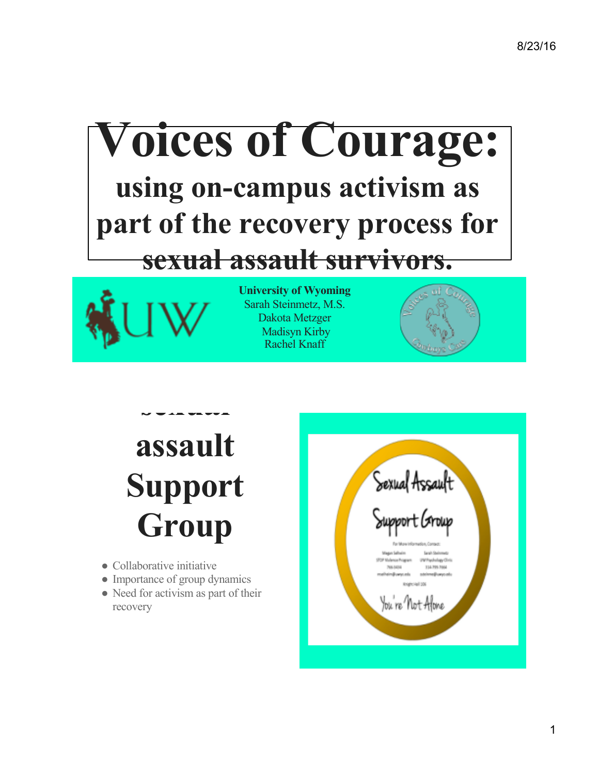# **Voices of Courage: using on-campus activism as part of the recovery process for sexual assault survivors.**



**University of Wyoming** Sarah Steinmetz, M.S. Dakota Metzger Madisyn Kirby Rachel Knaff



## **assault Support**  Group

**sexual** 

- Collaborative initiative
- Importance of group dynamics
- Need for activism as part of their recovery

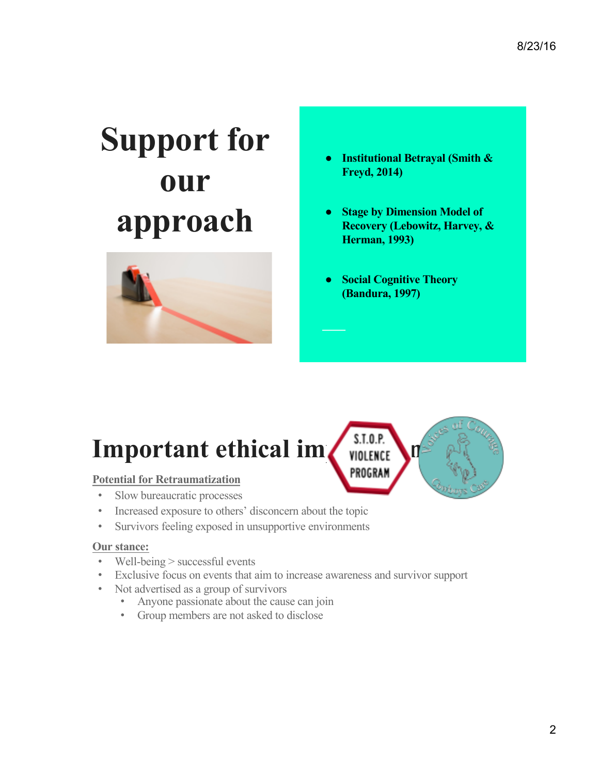# **Support for our approach**



- **Institutional Betrayal (Smith & Freyd, 2014)**
- **Stage by Dimension Model of Recovery (Lebowitz, Harvey, & Herman, 1993)**
- **Social Cognitive Theory (Bandura, 1997)**

## **Important ethical im WIGILER S.T.O.P.**

#### **Potential for Retraumatization**

- Slow bureaucratic processes
- Increased exposure to others' disconcern about the topic
- Survivors feeling exposed in unsupportive environments

#### **Our stance:**

- Well-being > successful events
- Exclusive focus on events that aim to increase awareness and survivor support
- Not advertised as a group of survivors
	- Anyone passionate about the cause can join
	- Group members are not asked to disclose

PROGRAM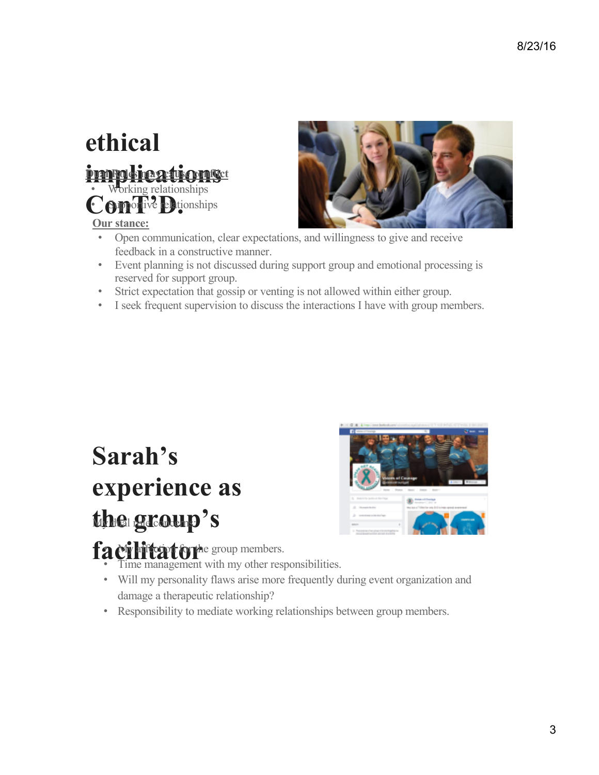#### **ethical impolications** Conorive **Philonships Dual Roles may a true conflict**

#### **Our stance:**



- Open communication, clear expectations, and willingness to give and receive feedback in a constructive manner.
- Event planning is not discussed during support group and emotional processing is reserved for support group.
- Strict expectation that gossip or venting is not allowed within either group.
- I seek frequent supervision to discuss the interactions I have with group members.

## **Sarah's experience as**  the group's



facilitator<sup>he group members.</sup>

- Time management with my other responsibilities.
- Will my personality flaws arise more frequently during event organization and damage a therapeutic relationship?
- Responsibility to mediate working relationships between group members.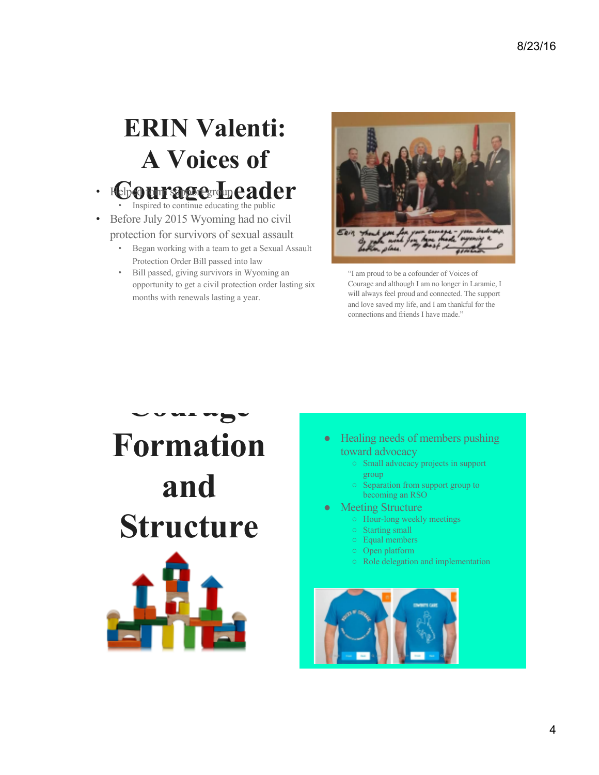## **ERIN Valenti: A Voices of**

## • **Help O the Support group Cader**

- Before July 2015 Wyoming had no civil protection for survivors of sexual assault
	- Began working with a team to get a Sexual Assault Protection Order Bill passed into law
	- Bill passed, giving survivors in Wyoming an opportunity to get a civil protection order lasting six months with renewals lasting a year.



"I am proud to be a cofounder of Voices of Courage and although I am no longer in Laramie, I will always feel proud and connected. The support and love saved my life, and I am thankful for the connections and friends I have made."



- Healing needs of members pushing toward advocacy
	- Small advocacy projects in support group
	- Separation from support group to becoming an RSO
- **Meeting Structure** 
	- Hour-long weekly meetings
	- Starting small
	- Equal members
	- Open platform
	- Role delegation and implementation

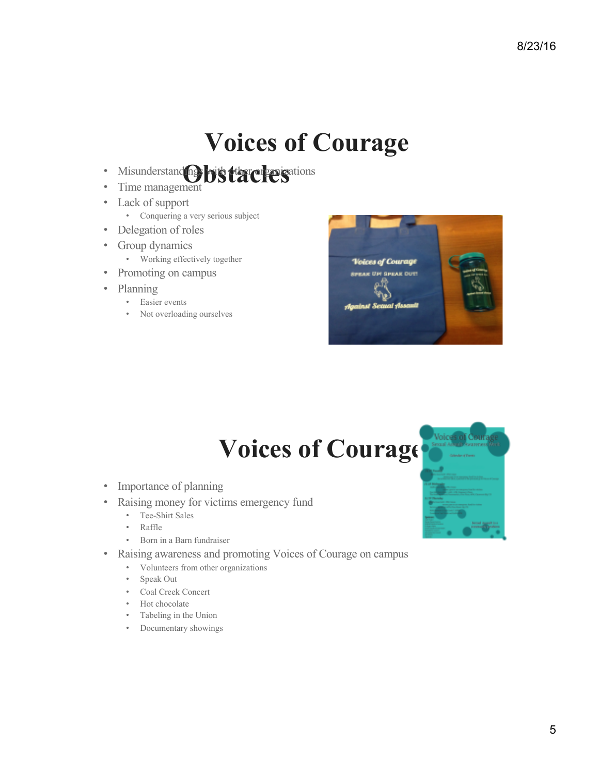#### **Voices of Courage**

- Misunderstand**es by that they g**ations
- Time management
- Lack of support
	- Conquering a very serious subject
- Delegation of roles
- Group dynamics
	- Working effectively together
- Promoting on campus
- Planning
	- Easier events
	- Not overloading ourselves



### Voices of Courage

- Importance of planning
- Raising money for victims emergency fund
	- Tee-Shirt Sales
	- Raffle
	- Born in a Barn fundraiser
- Raising awareness and promoting Voices of Courage on campus
	- Volunteers from other organizations
	- Speak Out
	- Coal Creek Concert
	- Hot chocolate
	- Tabeling in the Union
	- Documentary showings

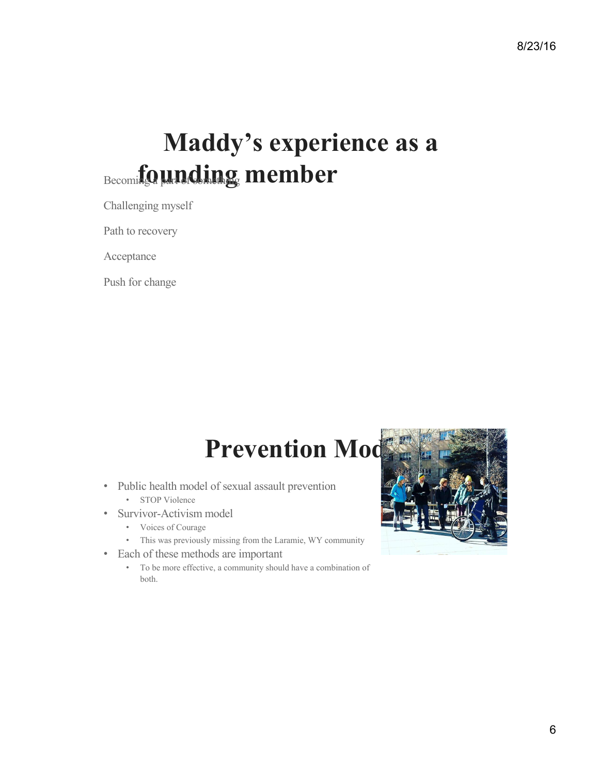#### **Maddy's experience as a**  Becomi**ng in a part of some founding member**

Challenging myself

Path to recovery

Acceptance

Push for change

#### **Prevention Model**

- Public health model of sexual assault prevention • STOP Violence
- Survivor-Activism model
	- Voices of Courage
	- This was previously missing from the Laramie, WY community
- Each of these methods are important
	- To be more effective, a community should have a combination of both.

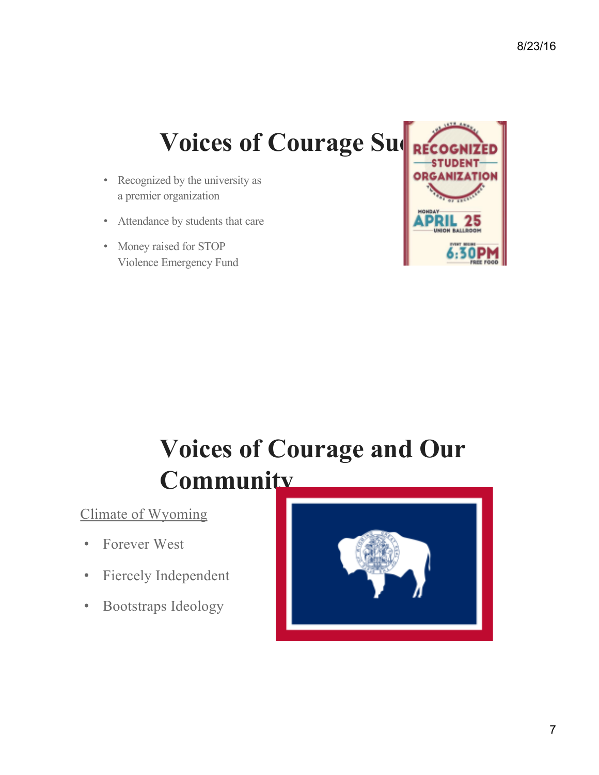#### **Voices of Courage Succession**

- Recognized by the university as a premier organization
- Attendance by students that care
- Money raised for STOP Violence Emergency Fund



## **Voices of Courage and Our Community**

Climate of Wyoming

- Forever West
- Fiercely Independent
- Bootstraps Ideology

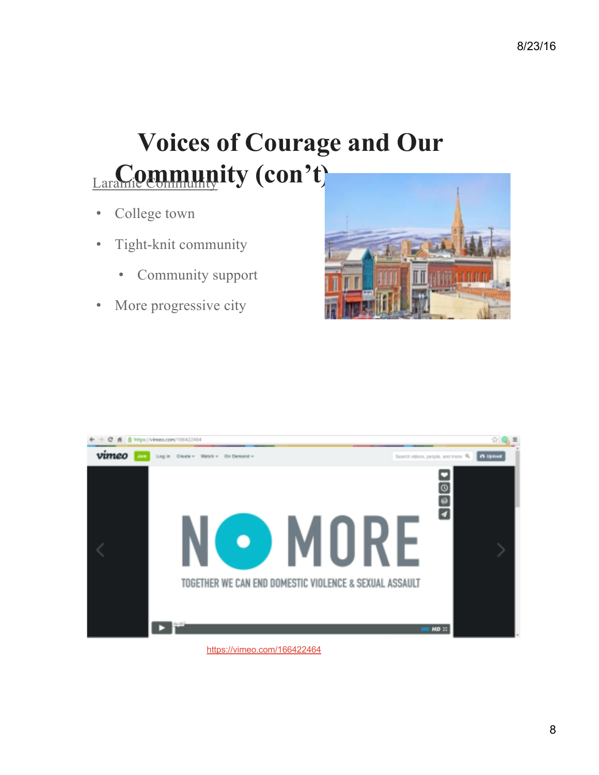## **Voices of Courage and Our**  Larami<sup>o</sup> Community (con't)

- College town
- Tight-knit community
	- Community support
- More progressive city





https://vimeo.com/166422464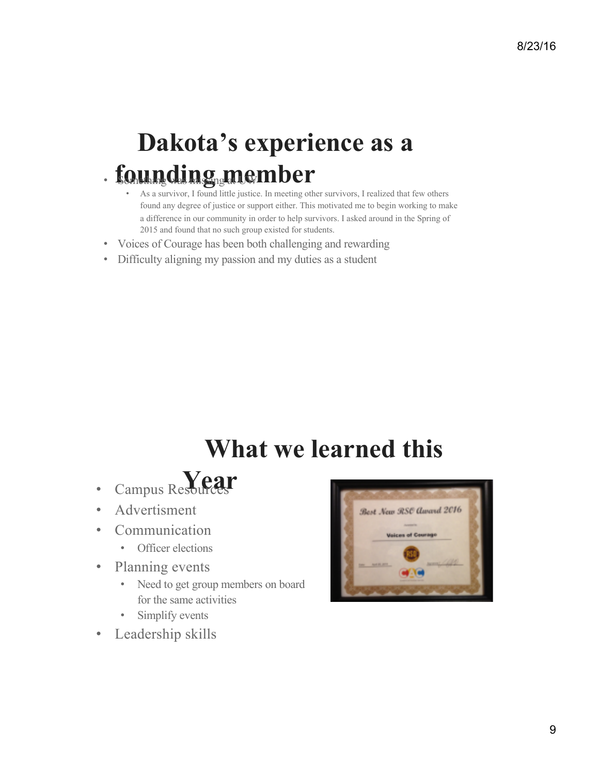#### **Dakota's experience as a**   $-$ **founding member**

- As a survivor, I found little justice. In meeting other survivors, I realized that few others found any degree of justice or support either. This motivated me to begin working to make a difference in our community in order to help survivors. I asked around in the Spring of 2015 and found that no such group existed for students.
- Voices of Courage has been both challenging and rewarding
- Difficulty aligning my passion and my duties as a student

### **What we learned this**

- Campus Resources **Year**
- Advertisment
- **Communication** 
	- Officer elections
- Planning events
	- Need to get group members on board for the same activities
	- Simplify events
- Leadership skills

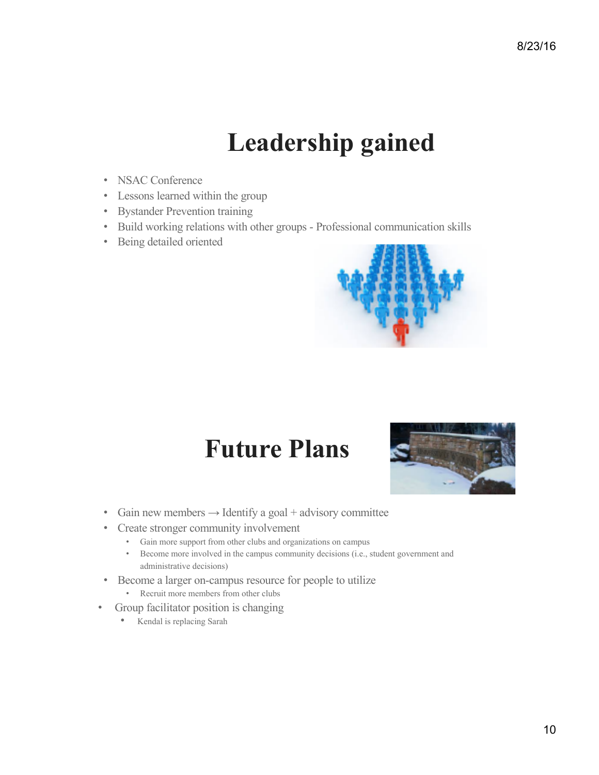#### **Leadership gained**

- NSAC Conference
- Lessons learned within the group
- Bystander Prevention training
- Build working relations with other groups Professional communication skills
- Being detailed oriented



#### **Future Plans**



- Gain new members  $\rightarrow$  Identify a goal + advisory committee
- Create stronger community involvement
	- Gain more support from other clubs and organizations on campus
	- Become more involved in the campus community decisions (i.e., student government and administrative decisions)
- Become a larger on-campus resource for people to utilize
	- Recruit more members from other clubs
- Group facilitator position is changing
	- Kendal is replacing Sarah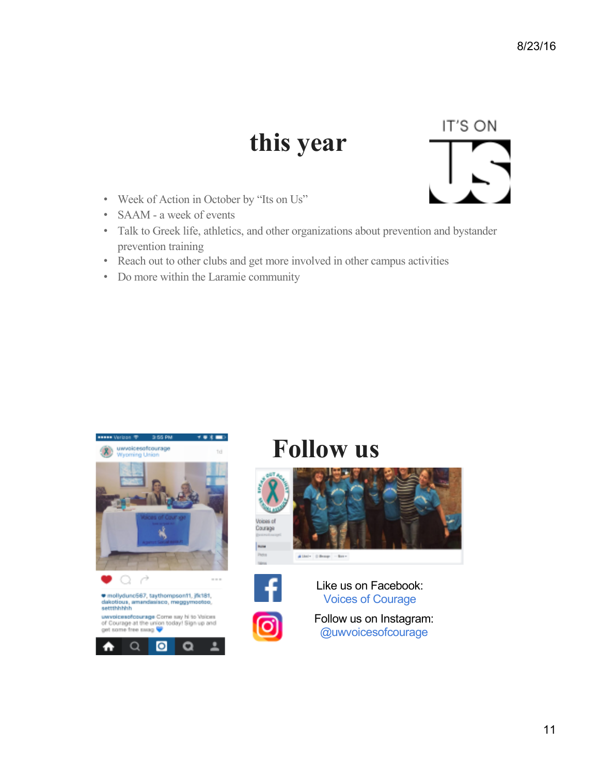#### **this year**

- Week of Action in October by "Its on Us"
- SAAM a week of events
- Talk to Greek life, athletics, and other organizations about prevention and bystander prevention training
- Reach out to other clubs and get more involved in other campus activities
- Do more within the Laramie community







#### **Follow us**





Like us on Facebook: Voices of Courage



Follow us on Instagram: @uwvoicesofcourage